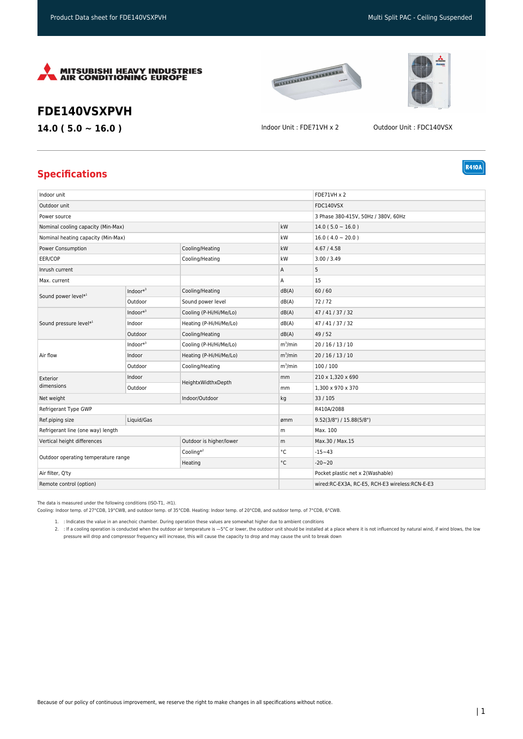





**R410A** 

## **FDE140VSXPVH**

**14.0 ( 5.0 ~ 16.0 )** Indoor Unit : FDE71VH x 2 Outdoor Unit : FDC140VSX

## **Specifications**

| Indoor unit                         |              |                         |            | <b>FDE71VH x 2</b>                             |
|-------------------------------------|--------------|-------------------------|------------|------------------------------------------------|
| Outdoor unit                        |              |                         |            | FDC140VSX                                      |
| Power source                        |              |                         |            | 3 Phase 380-415V, 50Hz / 380V, 60Hz            |
| Nominal cooling capacity (Min-Max)  |              |                         | kW         | $14.0(5.0 \sim 16.0)$                          |
| Nominal heating capacity (Min-Max)  |              |                         | kW         | $16.0(4.0 \sim 20.0)$                          |
| Power Consumption                   |              | Cooling/Heating         | kW         | 4.67 / 4.58                                    |
| EER/COP                             |              | Cooling/Heating         | kW         | 3.00 / 3.49                                    |
| Inrush current                      |              |                         | Α          | 5                                              |
| Max. current                        |              |                         | Α          | 15                                             |
| Sound power level*1                 | Indoor $*^3$ | Cooling/Heating         | dB(A)      | 60/60                                          |
|                                     | Outdoor      | Sound power level       | dB(A)      | 72/72                                          |
|                                     | Indoor $*^3$ | Cooling (P-Hi/Hi/Me/Lo) | dB(A)      | 47/41/37/32                                    |
| Sound pressure level*1              | Indoor       | Heating (P-Hi/Hi/Me/Lo) | dB(A)      | 47/41/37/32                                    |
| Air flow                            | Outdoor      | Cooling/Heating         | dB(A)      | 49/52                                          |
|                                     | $Indoor*3$   | Cooling (P-Hi/Hi/Me/Lo) | $m^3/m$ in | 20/16/13/10                                    |
|                                     | Indoor       | Heating (P-Hi/Hi/Me/Lo) | $m^3/m$ in | 20/16/13/10                                    |
| Exterior                            | Outdoor      | Cooling/Heating         | $m^3/m$ in | 100/100                                        |
|                                     | Indoor       | HeightxWidthxDepth      | mm         | 210 x 1,320 x 690                              |
| dimensions                          | Outdoor      |                         | mm         | 1,300 x 970 x 370                              |
| Net weight                          |              | Indoor/Outdoor          | kg         | 33/105                                         |
| Refrigerant Type GWP                |              |                         |            | R410A/2088                                     |
| Ref.piping size                     | Liquid/Gas   |                         | ømm        | 9.52(3/8") / 15.88(5/8")                       |
| Refrigerant line (one way) length   |              | m                       | Max. 100   |                                                |
| Vertical height differences         |              | Outdoor is higher/lower | m          | Max.30 / Max.15                                |
| Outdoor operating temperature range |              | Cooling $*^2$           | °C         | $-15 - 43$                                     |
|                                     |              | Heating                 | °C         | $-20 - 20$                                     |
| Air filter, Q'ty                    |              |                         |            | Pocket plastic net x 2(Washable)               |
| Remote control (option)             |              |                         |            | wired:RC-EX3A, RC-E5, RCH-E3 wireless:RCN-E-E3 |

The data is measured under the following conditions (ISO-T1, -H1).

Cooling: Indoor temp. of 27°CDB, 19°CWB, and outdoor temp. of 35°CDB. Heating: Indoor temp. of 20°CDB, and outdoor temp. of 7°CDB, 6°CWB.

1. : Indicates the value in an anechoic chamber. During operation these values are somewhat higher due to ambient conditions

2. : If a cooling operation is conducted when the outdoor air temperature is —5°C or lower, the outdoor unit should be installed at a place where it is not influenced by natural wind, if wind blows, the low pressure will drop and compressor frequency will increase, this will cause the capacity to drop and may cause the unit to break down